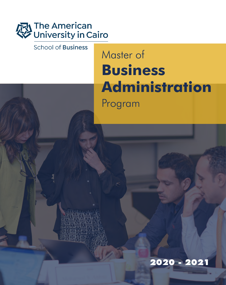

**School of Business** 

## Master of **Business Administration** Program

**2020 - 2021**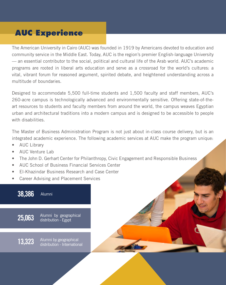## **AUC Experience**

The American University in Cairo (AUC) was founded in 1919 by Americans devoted to education and community service in the Middle East. Today, AUC is the region's premier English-language University — an essential contributor to the social, political and cultural life of the Arab world. AUC's academic programs are rooted in liberal arts education and serve as a crossroad for the world's cultures: a vital, vibrant forum for reasoned argument, spirited debate, and heightened understanding across a multitude of boundaries.

Designed to accommodate 5,500 full-time students and 1,500 faculty and staff members, AUC's 260-acre campus is technologically advanced and environmentally sensitive. Offering state-of-theart resources to students and faculty members from around the world, the campus weaves Egyptian urban and architectural traditions into a modern campus and is designed to be accessible to people with disabilities.

The Master of Business Administration Program is not just about in-class course delivery, but is an integrated academic experience. The following academic services at AUC make the program unique:

- AUC Library
- AUC Venture Lab
- The John D. Gerhart Center for Philanthropy, Civic Engagement and Responsible Business
- AUC School of Business Financial Services Center
- El-Khazindar Business Research and Case Center
- Career Advising and Placement Services

#### **38,386** Alumni

**25,063** Alumni by geographical distribution - Egypt

**13,323** Alumni by geographical<br>**13,323** distribution - International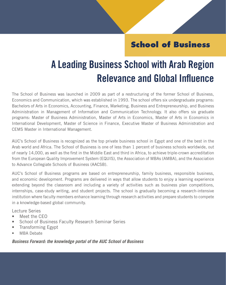## **School of Business**

## **A Leading Business School with Arab Region Relevance and Global Influence**

The School of Business was launched in 2009 as part of a restructuring of the former School of Business, Economics and Communication, which was established in 1993. The school offers six undergraduate programs: Bachelors of Arts in Economics, Accounting, Finance, Marketing, Business and Entrepreneurship, and Business Administration in Management of Information and Communication Technology. It also offers six graduate programs: Master of Business Administration, Master of Arts in Economics, Master of Arts in Economics in International Development, Master of Science in Finance, Executive Master of Business Administration and CEMS Master in International Management.

AUC's School of Business is recognized as the top private business school in Egypt and one of the best in the Arab world and Africa. The School of Business is one of less than 1 percent of business schools worldwide, out of nearly 14,000, as well as the first in the Middle East and third in Africa, to achieve triple-crown accreditation from the European Quality Improvement System (EQUIS), the Association of MBAs (AMBA), and the Association to Advance Collegiate Schools of Business (AACSB).

AUC's School of Business programs are based on entrepreneurship, family business, responsible business, and economic development. Programs are delivered in ways that allow students to enjoy a learning experience extending beyond the classroom and including a variety of activities such as business plan competitions, internships, case-study writing, and student projects. The school is gradually becoming a research-intensive institution where faculty members enhance learning through research activities and prepare students to compete in a knowledge-based global community.

Lecture Series

- Meet the CEO
- School of Business Faculty Research Seminar Series
- Transforming Egypt
- MBA Debate

*Business Forward: the knowledge portal of the AUC School of Business*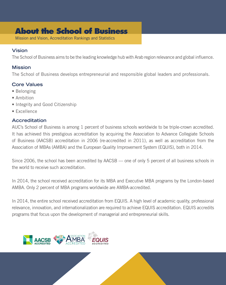### **About the School of Business**

Mission and Vision, Accreditation Rankings and Statistics

#### **Vision**

The School of Business aims to be the leading knowledge hub with Arab region relevance and global influence.

#### **Mission**

The School of Business develops entrepreneurial and responsible global leaders and professionals.

#### **Core Values**

- Belonging
- Ambition
- Integrity and Good Citizenship
- Excellence

#### **Accreditation**

AUC's School of Business is among 1 percent of business schools worldwide to be triple-crown accredited. It has achieved this prestigious accreditation by acquiring the Association to Advance Collegiate Schools of Business (AACSB) accreditation in 2006 (re-accredited in 2011), as well as accreditation from the Association of MBAs (AMBA) and the European Quality Improvement System (EQUIS), both in 2014.

Since 2006, the school has been accredited by AACSB — one of only 5 percent of all business schools in the world to receive such accreditation.

In 2014, the school received accreditation for its MBA and Executive MBA programs by the London-based AMBA. Only 2 percent of MBA programs worldwide are AMBA-accredited.

In 2014, the entire school received accreditation from EQUIS. A high level of academic quality, professional relevance, innovation, and internationalization are required to achieve EQUIS accreditation. EQUIS accredits programs that focus upon the development of managerial and entrepreneurial skills.

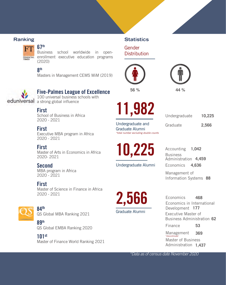#### **Ranking Statistics**

#### **67th**

Business school worldwide in openenrollment executive education programs **FINANCIAL** (2020)

**8 th**





**56 % 44 %**



#### **Five-Palmes League of Excellence**

100 universal business schools with eduniversal a strong global influence

#### **First**

School of Business in Africa 2020 - 2021

#### **First**

Executive MBA program in Africa 2020 - 2021

#### **First**

Master of Arts in Economics in Africa 2020- 2021

#### **Second**

MBA program in Africa 2020 - 2021

#### **First**

Master of Science in Finance in Africa 2020 - 2021



#### **84th**

QS Global MBA Ranking 2021

**89th** QS Global EMBA Ranking 2020

#### **101st**

Master of Finance World Ranking 2021



Gender **Distribution** 

Undergraduate and Graduate Alumni *\*total number excluding double counts* Graduate Undergraduate **2,566**

**10,225**

Undergraduate Alumni

Economics Business Administration **4,459** Accounting **1,042 4,636**

Management of Information Systems **88**



Economics in International Development **177 468** Executive Master of Business Administration **62**

Finance **53**

Master of Business Administration **1,437** Management **369** *\*discontinued*

\*Data as of census date November 2020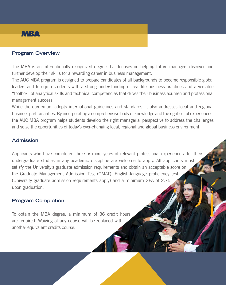## **MBA**

#### **Program Overview**

The MBA is an internationally recognized degree that focuses on helping future managers discover and further develop their skills for a rewarding career in business management.

The AUC MBA program is designed to prepare candidates of all backgrounds to become responsible global leaders and to equip students with a strong understanding of real-life business practices and a versatile "toolbox" of analytical skills and technical competencies that drives their business acumen and professional management success.

While the curriculum adopts international guidelines and standards, it also addresses local and regional business particularities. By incorporating a comprehensive body of knowledge and the right set of experiences, the AUC MBA program helps students develop the right managerial perspective to address the challenges and seize the opportunities of today's ever-changing local, regional and global business environment.

#### **Admission**

Applicants who have completed three or more years of relevant professional experience after their undergraduate studies in any academic discipline are welcome to apply. All applicants must satisfy the University's graduate admission requirements and obtain an acceptable score on the Graduate Management Admission Test (GMAT), English-language proficiency test (University graduate admission requirements apply) and a minimum GPA of 2.75 upon graduation.

#### **Program Completion**

To obtain the MBA degree, a minimum of 36 credit hours are required. Waiving of any course will be replaced with another equivalent credits course.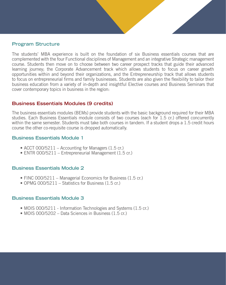#### **Program Structure**

The students' MBA experience is built on the foundation of six Business essentials courses that are complemented with the four Functional disciplines of Management and an integrative Strategic management course. Students then move on to choose between two career prospect tracks that guide their advanced learning journey; the Corporate Advancement track which allows students to focus on career growth opportunities within and beyond their organizations, and the Entrepreneurship track that allows students to focus on entrepreneurial firms and family businesses. Students are also given the flexibility to tailor their business education from a variety of in-depth and insightful Elective courses and Business Seminars that cover contemporary topics in business in the region:

#### **Business Essentials Modules (9 credits)**

The business essentials modules (BEMs) provide students with the basic background required for their MBA studies. Each Business Essentials module consists of two courses (each for 1.5 cr.) offered concurrently within the same semester. Students must take both courses in tandem. If a student drops a 1.5 credit hours course the other co-requisite course is dropped automatically.

#### **Business Essentials Module 1**

- ACCT 000/5211 Accounting for Managers (1.5 cr.)
- ENTR 000/5211 Entrepreneurial Management (1.5 cr.)

#### **Business Essentials Module 2**

- FINC 000/5211 Managerial Economics for Business (1.5 cr.)
- OPMG 000/5211 Statistics for Business (1.5 cr.)

#### **Business Essentials Module 3**

- MOIS 000/5211 Information Technologies and Systems (1.5 cr.)
- MOIS 000/5202 Data Sciences in Business (1.5 cr.)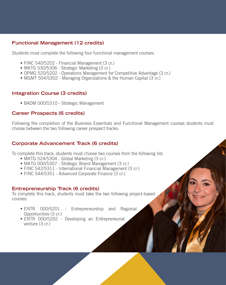#### **Functional Management (12 credits)**

Students must complete the following four functional management courses:

- FINC 540/5202 Financial Management (3 cr.)
- MKTG 530/5306 Strategic Marketing (3 cr.)
- OPMG 520/5202 Operations Management for Competitive Advantage (3 cr.)
- MGMT 504/5302 Managing Organizations & the Human Capital (3 cr.)

#### **Integration Course (3 credits)**

• BADM 000/5310 - Strategic Management

#### **Career Prospects (6 credits)**

Following the completion of the Business Essentials and Functional Management courses students must choose between the two following career prospect tracks:

#### **Corporate Advancement Track (6 credits)**

To complete this track, students must choose two courses from the following list:

- MKTG 524/5304 Global Marketing (3 cr.)
- MKTG 000/5307 Strategic Brand Management (3 cr.)
- FINC 542/5311 International Financial Management (3 cr.)
- FINC 544/5351 Advanced Corporate Finance (3 cr.)

#### **Entrepreneurship Track (6 credits)**

To complete this track, students must take the two following project-based courses:

- ENTR 000/5201 Entrepreneurship and Regional Opportunities (3 cr.)
- ENTR 000/5202 Developing an Entrepreneurial venture (3 cr.)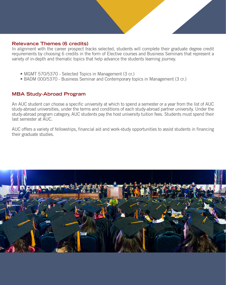#### **Relevance Themes (6 credits)**

In alignment with the career prospect tracks selected, students will complete their graduate degree credit requirements by choosing 6 credits in the form of Elective courses and Business Seminars that represent a variety of in-depth and thematic topics that help advance the students learning journey.

- MGMT 570/5370 Selected Topics in Management (3 cr.)
- BADM 000/5370 Business Seminar and Contemporary topics in Management (3 cr.)

#### **MBA Study-Abroad Program**

An AUC student can choose a specific university at which to spend a semester or a year from the list of AUC study-abroad universities, under the terms and conditions of each study-abroad partner university. Under the study-abroad program category, AUC students pay the host university tuition fees. Students must spend their last semester at AUC.

AUC offers a variety of fellowships, financial aid and work-study opportunities to assist students in financing their graduate studies.

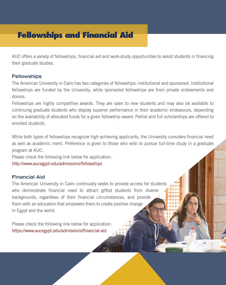## **Fellowships and Financial Aid**

AUC offers a variety of fellowships, financial aid and work-study opportunities to assist students in financing their graduate studies.

#### **Fellowships**

The American University in Cairo has two categories of fellowships: institutional and sponsored. Institutional fellowships are funded by the University, while sponsored fellowships are from private endowments and donors.

Fellowships are highly competitive awards. They are open to new students and may also be available to continuing graduate students who display superior performance in their academic endeavours, depending on the availability of allocated funds for a given fellowship award. Partial and full scholarships are offered to enrolled students.

While both types of fellowships recognize high achieving applicants, the University considers financial need as well as academic merit. Preference is given to those who wish to pursue full-time study in a graduate program at AUC.

Please check the following link below for application:

http://www.aucegypt.edu/admissions/fellowships

#### **Financial Aid**

The American University in Cairo continually seeks to provide access for students who demonstrate financial need to attract gifted students from diverse backgrounds, regardless of their financial circumstances, and provide them with an education that empowers them to create positive change in Egypt and the world.

Please check the following link below for application: https://www.aucegypt.edu/admissions/financial-aid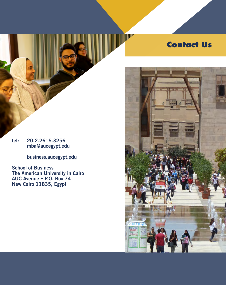## **Contact Us**

#### **tel: 20.2.2615.3256 mba@aucegypt.edu**

**business.aucegypt.edu**

**School of Business The American University in Cairo AUC Avenue • P.O. Box 74 New Cairo 11835, Egypt**